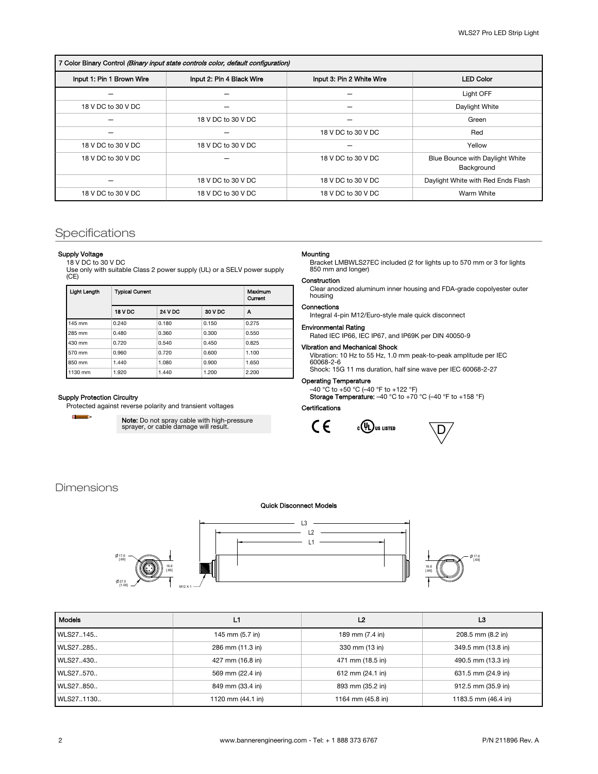# 7 Color Binary Control (Binary input state controls color, default configuration)

| , out bindly control printing input casto control color, actually controlled another |                           |                           |                                               |  |  |  |
|--------------------------------------------------------------------------------------|---------------------------|---------------------------|-----------------------------------------------|--|--|--|
| Input 1: Pin 1 Brown Wire                                                            | Input 2: Pin 4 Black Wire | Input 3: Pin 2 White Wire | <b>LED Color</b>                              |  |  |  |
|                                                                                      |                           |                           | Light OFF                                     |  |  |  |
| 18 V DC to 30 V DC                                                                   |                           |                           | Daylight White                                |  |  |  |
|                                                                                      | 18 V DC to 30 V DC        |                           | Green                                         |  |  |  |
|                                                                                      |                           | 18 V DC to 30 V DC        | Red                                           |  |  |  |
| 18 V DC to 30 V DC                                                                   | 18 V DC to 30 V DC        |                           | Yellow                                        |  |  |  |
| 18 V DC to 30 V DC                                                                   |                           | 18 V DC to 30 V DC        | Blue Bounce with Daylight White<br>Background |  |  |  |
|                                                                                      | 18 V DC to 30 V DC        | 18 V DC to 30 V DC        | Daylight White with Red Ends Flash            |  |  |  |
| 18 V DC to 30 V DC                                                                   | 18 V DC to 30 V DC        | 18 V DC to 30 V DC        | Warm White                                    |  |  |  |

# Specifications

#### Supply Voltage

18 V DC to 30 V DC Use only with suitable Class 2 power supply (UL) or a SELV power supply (CE)

| Light Length | <b>Typical Current</b> | Maximum<br>Current |         |       |
|--------------|------------------------|--------------------|---------|-------|
|              | <b>18 V DC</b>         | <b>24 V DC</b>     | 30 V DC | А     |
| 145 mm       | 0.240                  | 0.180              | 0.150   | 0.275 |
| 285 mm       | 0.480                  | 0.360              | 0.300   | 0.550 |
| 430 mm       | 0.720                  | 0.540              | 0.450   | 0.825 |
| 570 mm       | 0.960                  | 0.720              | 0.600   | 1.100 |
| 850 mm       | 1.440                  | 1.080              | 0.900   | 1.650 |
| 1130 mm      | 1.920                  | 1.440              | 1.200   | 2.200 |

#### Supply Protection Circuitry

Protected against reverse polarity and transient voltages

 $\blacksquare$  $\rightarrow$ 

**Note:** Do not spray cable with high-pressure<br>sprayer, or cable damage will result.

#### Mounting

Bracket LMBWLS27EC included (2 for lights up to 570 mm or 3 for lights 850 mm and longer)

## Construction

Clear anodized aluminum inner housing and FDA-grade copolyester outer housing

### Connections

Integral 4-pin M12/Euro-style male quick disconnect

## Environmental Rating

Rated IEC IP66, IEC IP67, and IP69K per DIN 40050-9

## Vibration and Mechanical Shock

Vibration: 10 Hz to 55 Hz, 1.0 mm peak-to-peak amplitude per IEC 60068-2-6 Shock: 15G 11 ms duration, half sine wave per IEC 60068-2-27

## Operating Temperature

–40 °C to +50 °C (–40 °F to +122 °F)<br>**Storage Temperature:** –40 °C to +70 °C (–40 °F to +158 °F)

## **Certifications**





## Dimensions

#### Quick Disconnect Models



| <b>Models</b> | L1                | L <sub>2</sub>    | L3                  |
|---------------|-------------------|-------------------|---------------------|
| WLS27145      | 145 mm (5.7 in)   | 189 mm (7.4 in)   | 208.5 mm (8.2 in)   |
| WLS27.285     | 286 mm (11.3 in)  | 330 mm (13 in)    | 349.5 mm (13.8 in)  |
| WLS27.430     | 427 mm (16.8 in)  | 471 mm (18.5 in)  | 490.5 mm (13.3 in)  |
| WLS27570      | 569 mm (22.4 in)  | 612 mm (24.1 in)  | 631.5 mm (24.9 in)  |
| WLS27.850     | 849 mm (33.4 in)  | 893 mm (35.2 in)  | 912.5 mm (35.9 in)  |
| WLS271130     | 1120 mm (44.1 in) | 1164 mm (45.8 in) | 1183.5 mm (46.4 in) |